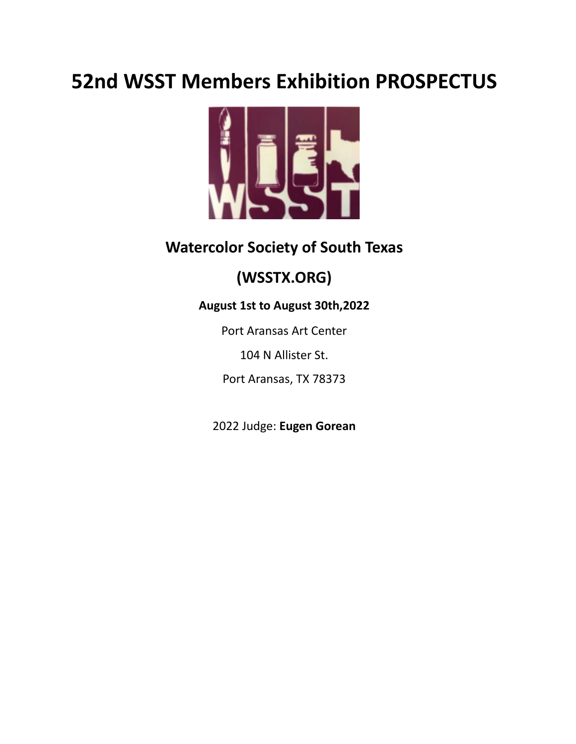# **52nd WSST Members Exhibition PROSPECTUS**



## **Watercolor Society of South Texas**

# **(WSSTX.ORG)**

### **August 1st to August 30th,2022**

Port Aransas Art Center

104 N Allister St.

Port Aransas, TX 78373

2022 Judge: **Eugen Gorean**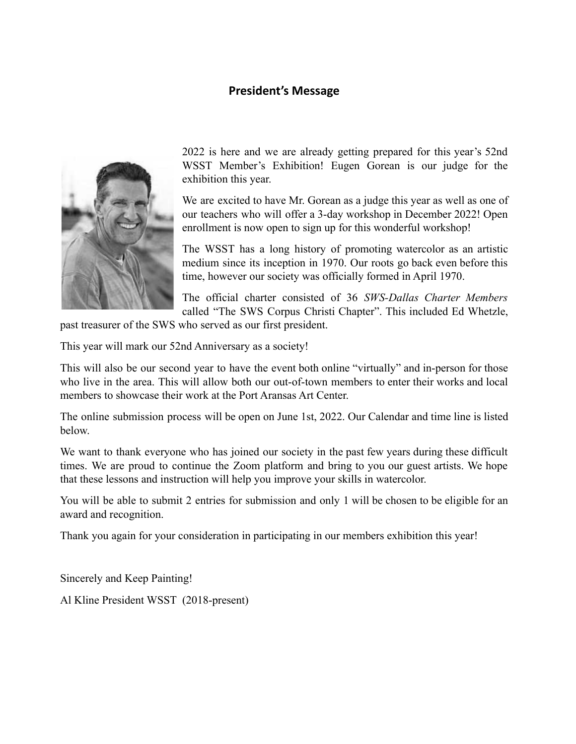#### **President's Message**



2022 is here and we are already getting prepared for this year's 52nd WSST Member's Exhibition! Eugen Gorean is our judge for the exhibition this year.

We are excited to have Mr. Gorean as a judge this year as well as one of our teachers who will offer a 3-day workshop in December 2022! Open enrollment is now open to sign up for this wonderful workshop!

The WSST has a long history of promoting watercolor as an artistic medium since its inception in 1970. Our roots go back even before this time, however our society was officially formed in April 1970.

The official charter consisted of 36 *SWS-Dallas Charter Members* called "The SWS Corpus Christi Chapter". This included Ed Whetzle,

past treasurer of the SWS who served as our first president.

This year will mark our 52nd Anniversary as a society!

This will also be our second year to have the event both online "virtually" and in-person for those who live in the area. This will allow both our out-of-town members to enter their works and local members to showcase their work at the Port Aransas Art Center.

The online submission process will be open on June 1st, 2022. Our Calendar and time line is listed below.

We want to thank everyone who has joined our society in the past few years during these difficult times. We are proud to continue the Zoom platform and bring to you our guest artists. We hope that these lessons and instruction will help you improve your skills in watercolor.

You will be able to submit 2 entries for submission and only 1 will be chosen to be eligible for an award and recognition.

Thank you again for your consideration in participating in our members exhibition this year!

Sincerely and Keep Painting!

Al Kline President WSST (2018-present)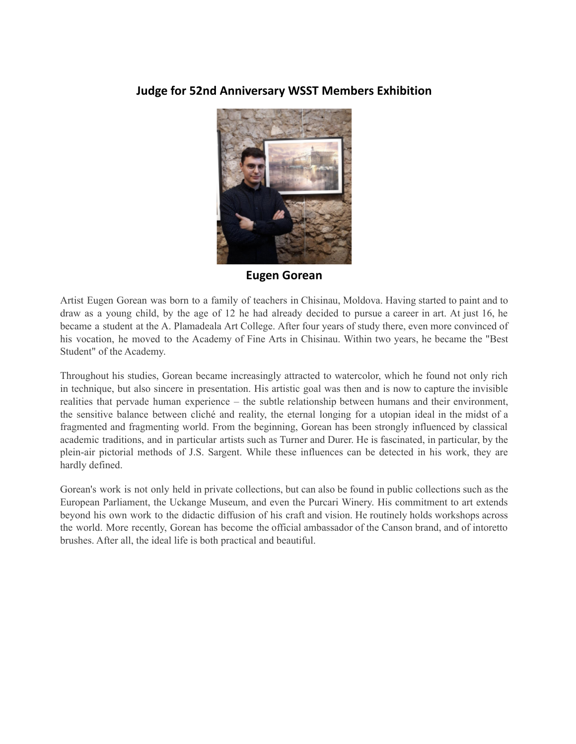#### **Judge for 52nd Anniversary WSST Members Exhibition**



**Eugen Gorean**

Artist Eugen Gorean was born to a family of teachers in Chisinau, Moldova. Having started to paint and to draw as a young child, by the age of 12 he had already decided to pursue a career in art. At just 16, he became a student at the A. Plamadeala Art College. After four years of study there, even more convinced of his vocation, he moved to the Academy of Fine Arts in Chisinau. Within two years, he became the "Best Student" of the Academy.

Throughout his studies, Gorean became increasingly attracted to watercolor, which he found not only rich in technique, but also sincere in presentation. His artistic goal was then and is now to capture the invisible realities that pervade human experience – the subtle relationship between humans and their environment, the sensitive balance between cliché and reality, the eternal longing for a utopian ideal in the midst of a fragmented and fragmenting world. From the beginning, Gorean has been strongly influenced by classical academic traditions, and in particular artists such as Turner and Durer. He is fascinated, in particular, by the plein-air pictorial methods of J.S. Sargent. While these influences can be detected in his work, they are hardly defined.

Gorean's work is not only held in private collections, but can also be found in public collections such as the European Parliament, the Uckange Museum, and even the Purcari Winery. His commitment to art extends beyond his own work to the didactic diffusion of his craft and vision. He routinely holds workshops across the world. More recently, Gorean has become the official ambassador of the Canson brand, and of intoretto brushes. After all, the ideal life is both practical and beautiful.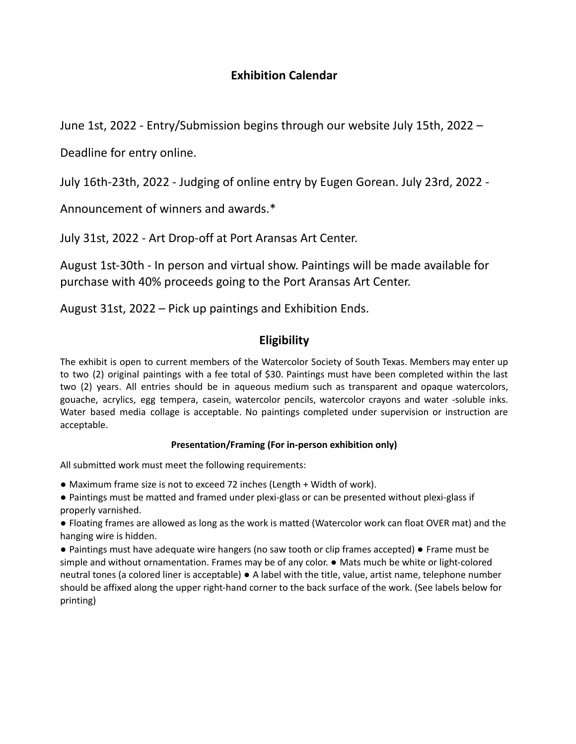#### **Exhibition Calendar**

June 1st, 2022 - Entry/Submission begins through our website July 15th, 2022 –

Deadline for entry online.

July 16th-23th, 2022 - Judging of online entry by Eugen Gorean. July 23rd, 2022 -

Announcement of winners and awards.\*

July 31st, 2022 - Art Drop-off at Port Aransas Art Center.

August 1st-30th - In person and virtual show. Paintings will be made available for purchase with 40% proceeds going to the Port Aransas Art Center.

August 31st, 2022 – Pick up paintings and Exhibition Ends.

#### **Eligibility**

The exhibit is open to current members of the Watercolor Society of South Texas. Members may enter up to two (2) original paintings with a fee total of \$30. Paintings must have been completed within the last two (2) years. All entries should be in aqueous medium such as transparent and opaque watercolors, gouache, acrylics, egg tempera, casein, watercolor pencils, watercolor crayons and water -soluble inks. Water based media collage is acceptable. No paintings completed under supervision or instruction are acceptable.

#### **Presentation/Framing (For in-person exhibition only)**

All submitted work must meet the following requirements:

- Maximum frame size is not to exceed 72 inches (Length + Width of work).
- Paintings must be matted and framed under plexi-glass or can be presented without plexi-glass if properly varnished.
- Floating frames are allowed as long as the work is matted (Watercolor work can float OVER mat) and the hanging wire is hidden.
- Paintings must have adequate wire hangers (no saw tooth or clip frames accepted) Frame must be simple and without ornamentation. Frames may be of any color. ● Mats much be white or light-colored neutral tones (a colored liner is acceptable) ● A label with the title, value, artist name, telephone number should be affixed along the upper right-hand corner to the back surface of the work. (See labels below for printing)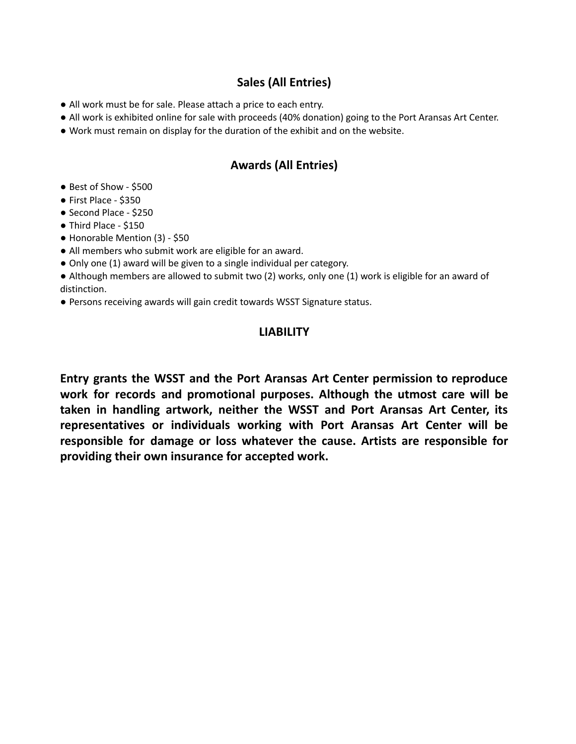#### **Sales (All Entries)**

- All work must be for sale. Please attach a price to each entry.
- All work is exhibited online for sale with proceeds (40% donation) going to the Port Aransas Art Center.
- Work must remain on display for the duration of the exhibit and on the website.

#### **Awards (All Entries)**

- Best of Show \$500
- First Place \$350
- Second Place \$250
- Third Place \$150
- Honorable Mention (3) \$50
- All members who submit work are eligible for an award.
- Only one (1) award will be given to a single individual per category.
- Although members are allowed to submit two (2) works, only one (1) work is eligible for an award of distinction.
- Persons receiving awards will gain credit towards WSST Signature status.

#### **LIABILITY**

**Entry grants the WSST and the Port Aransas Art Center permission to reproduce work for records and promotional purposes. Although the utmost care will be taken in handling artwork, neither the WSST and Port Aransas Art Center, its representatives or individuals working with Port Aransas Art Center will be responsible for damage or loss whatever the cause. Artists are responsible for providing their own insurance for accepted work.**